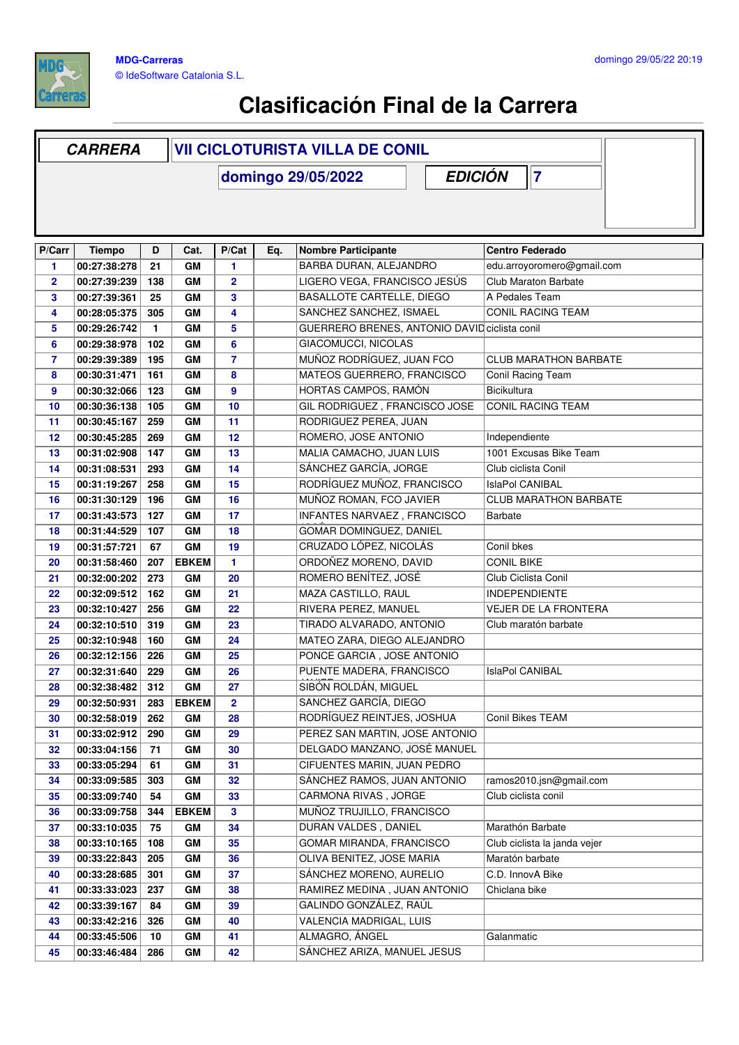

|                | <b>CARRERA</b> |              |              | <b>VII CICLOTURISTA VILLA DE CONIL</b> |     |                                               |                              |  |  |
|----------------|----------------|--------------|--------------|----------------------------------------|-----|-----------------------------------------------|------------------------------|--|--|
|                |                |              |              |                                        |     | <b>EDICIÓN</b><br>domingo 29/05/2022          | 17                           |  |  |
|                |                |              |              |                                        |     |                                               |                              |  |  |
|                |                |              |              |                                        |     |                                               |                              |  |  |
|                |                |              |              |                                        |     |                                               |                              |  |  |
| P/Carr         | <b>Tiempo</b>  | D            | Cat.         | P/Cat                                  | Eq. | <b>Nombre Participante</b>                    | <b>Centro Federado</b>       |  |  |
| 1              | 00:27:38:278   | 21           | GM           | 1                                      |     | BARBA DURAN, ALEJANDRO                        | edu.arroyoromero@gmail.com   |  |  |
| $\overline{2}$ | 00:27:39:239   | 138          | GM           | $\overline{2}$                         |     | LIGERO VEGA, FRANCISCO JESÚS                  | Club Maraton Barbate         |  |  |
| 3              | 00:27:39:361   | 25           | GМ           | 3                                      |     | BASALLOTE CARTELLE, DIEGO                     | A Pedales Team               |  |  |
| 4              | 00:28:05:375   | 305          | GМ           | 4                                      |     | SANCHEZ SANCHEZ, ISMAEL                       | <b>CONIL RACING TEAM</b>     |  |  |
| 5              | 00:29:26:742   | $\mathbf{1}$ | GМ           | 5                                      |     | GUERRERO BRENES, ANTONIO DAVID ciclista conil |                              |  |  |
| 6              | 00:29:38:978   | 102          | GМ           | 6                                      |     | GIACOMUCCI, NICOLAS                           |                              |  |  |
| $\overline{7}$ | 00:29:39:389   | 195          | GM           | $\overline{7}$                         |     | MUÑOZ RODRÍGUEZ, JUAN FCO                     | <b>CLUB MARATHON BARBATE</b> |  |  |
| 8              | 00:30:31:471   | 161          | GM           | 8                                      |     | MATEOS GUERRERO, FRANCISCO                    | Conil Racing Team            |  |  |
| 9              | 00:30:32:066   | 123          | GM           | $\boldsymbol{9}$                       |     | HORTAS CAMPOS, RAMÓN                          | Bicikultura                  |  |  |
| 10             | 00:30:36:138   | 105          | GМ           | 10                                     |     | GIL RODRIGUEZ, FRANCISCO JOSE                 | <b>CONIL RACING TEAM</b>     |  |  |
| 11             | 00:30:45:167   | 259          | GM           | 11                                     |     | RODRIGUEZ PEREA, JUAN                         |                              |  |  |
| 12             | 00:30:45:285   | 269          | GM           | 12                                     |     | ROMERO, JOSE ANTONIO                          | Independiente                |  |  |
| 13             | 00:31:02:908   | 147          | GM           | 13                                     |     | MALIA CAMACHO, JUAN LUIS                      | 1001 Excusas Bike Team       |  |  |
| 14             | 00:31:08:531   | 293          | GM           | 14                                     |     | SÁNCHEZ GARCÍA, JORGE                         | Club ciclista Conil          |  |  |
| 15             | 00:31:19:267   | 258          | GM           | 15                                     |     | RODRÍGUEZ MUÑOZ, FRANCISCO                    | IslaPol CANIBAL              |  |  |
| 16             | 00:31:30:129   | 196          | GМ           | 16                                     |     | MUÑOZ ROMAN, FCO JAVIER                       | <b>CLUB MARATHON BARBATE</b> |  |  |
| 17             | 00:31:43:573   | 127          | GМ           | 17                                     |     | INFANTES NARVAEZ, FRANCISCO                   | <b>Barbate</b>               |  |  |
| 18             | 00:31:44:529   | 107          | GМ           | 18                                     |     | GOMAR DOMINGUEZ, DANIEL                       |                              |  |  |
| 19             | 00:31:57:721   | 67           | GM           | 19                                     |     | CRUZADO LÓPEZ, NICOLÁS                        | Conil bkes                   |  |  |
| 20             | 00:31:58:460   | 207          | <b>EBKEM</b> | 1                                      |     | ORDOÑEZ MORENO, DAVID                         | <b>CONIL BIKE</b>            |  |  |
| 21             | 00:32:00:202   | 273          | GМ           | 20                                     |     | ROMERO BENÍTEZ, JOSÉ                          | Club Ciclista Conil          |  |  |
| 22             | 00:32:09:512   | 162          | GМ           | 21                                     |     | MAZA CASTILLO, RAUL                           | <b>INDEPENDIENTE</b>         |  |  |
| 23             | 00:32:10:427   | 256          | GM           | 22                                     |     | RIVERA PEREZ, MANUEL                          | <b>VEJER DE LA FRONTERA</b>  |  |  |
| 24             | 00:32:10:510   | 319          | GM           | 23                                     |     | TIRADO ALVARADO, ANTONIO                      | Club maratón barbate         |  |  |
| 25             | 00:32:10:948   | 160          | GM           | 24                                     |     | MATEO ZARA, DIEGO ALEJANDRO                   |                              |  |  |
| 26             | 00:32:12:156   | 226          | GМ           | 25                                     |     | PONCE GARCIA, JOSE ANTONIO                    |                              |  |  |
| 27             | 00:32:31:640   | 229          | GM           | 26                                     |     | PUENTE MADERA, FRANCISCO                      | <b>IslaPol CANIBAL</b>       |  |  |
| 28             | 00:32:38:482   | 312          | GM           | 27                                     |     | SIBÓN ROLDÁN, MIGUEL                          |                              |  |  |
| 29             | 00:32:50:931   | 283          | <b>EBKEM</b> | $\mathbf{2}$                           |     | SANCHEZ GARCÍA, DIEGO                         |                              |  |  |
| 30             | 00:32:58:019   | 262          | GM           | 28                                     |     | RODRÍGUEZ REINTJES, JOSHUA                    | Conil Bikes TEAM             |  |  |
| 31             | 00:33:02:912   | 290          | GM           | 29                                     |     | PEREZ SAN MARTIN, JOSE ANTONIO                |                              |  |  |
| 32             | 00:33:04:156   | 71           | GM           | 30                                     |     | DELGADO MANZANO, JOSÉ MANUEL                  |                              |  |  |
| 33             | 00:33:05:294   | 61           | GM           | 31                                     |     | CIFUENTES MARIN, JUAN PEDRO                   |                              |  |  |
| 34             | 00:33:09:585   | 303          | GM           | 32                                     |     | SANCHEZ RAMOS, JUAN ANTONIO                   | ramos2010.jsn@gmail.com      |  |  |
| 35             | 00:33:09:740   | 54           | GM           | 33                                     |     | CARMONA RIVAS, JORGE                          | Club ciclista conil          |  |  |
| 36             | 00:33:09:758   | 344          | <b>EBKEM</b> | $\mathbf{3}$                           |     | MUÑOZ TRUJILLO, FRANCISCO                     |                              |  |  |
| 37             | 00:33:10:035   | 75           | GМ           | 34                                     |     | DURAN VALDES, DANIEL                          | Marathón Barbate             |  |  |
| 38             | 00:33:10:165   | 108          | GМ           | 35                                     |     | GOMAR MIRANDA, FRANCISCO                      | Club ciclista la janda vejer |  |  |
| 39             | 00:33:22:843   | 205          | GМ           | 36                                     |     | OLIVA BENITEZ, JOSE MARIA                     | Maratón barbate              |  |  |
| 40             | 00:33:28:685   | 301          | GM           | 37                                     |     | SÁNCHEZ MORENO, AURELIO                       | C.D. InnovA Bike             |  |  |
| 41             | 00:33:33:023   | 237          | GM           | 38                                     |     | RAMIREZ MEDINA, JUAN ANTONIO                  | Chiclana bike                |  |  |
| 42             | 00:33:39:167   | 84           | GМ           | 39                                     |     | GALINDO GONZÁLEZ, RAÚL                        |                              |  |  |
| 43             | 00:33:42:216   | 326          | GM           | 40                                     |     | VALENCIA MADRIGAL, LUIS                       |                              |  |  |
| 44             | 00:33:45:506   | 10           | GM           | 41                                     |     | ALMAGRO, ÁNGEL                                | Galanmatic                   |  |  |
| 45             | 00:33:46:484   | 286          | GM           | 42                                     |     | SÁNCHEZ ARIZA, MANUEL JESUS                   |                              |  |  |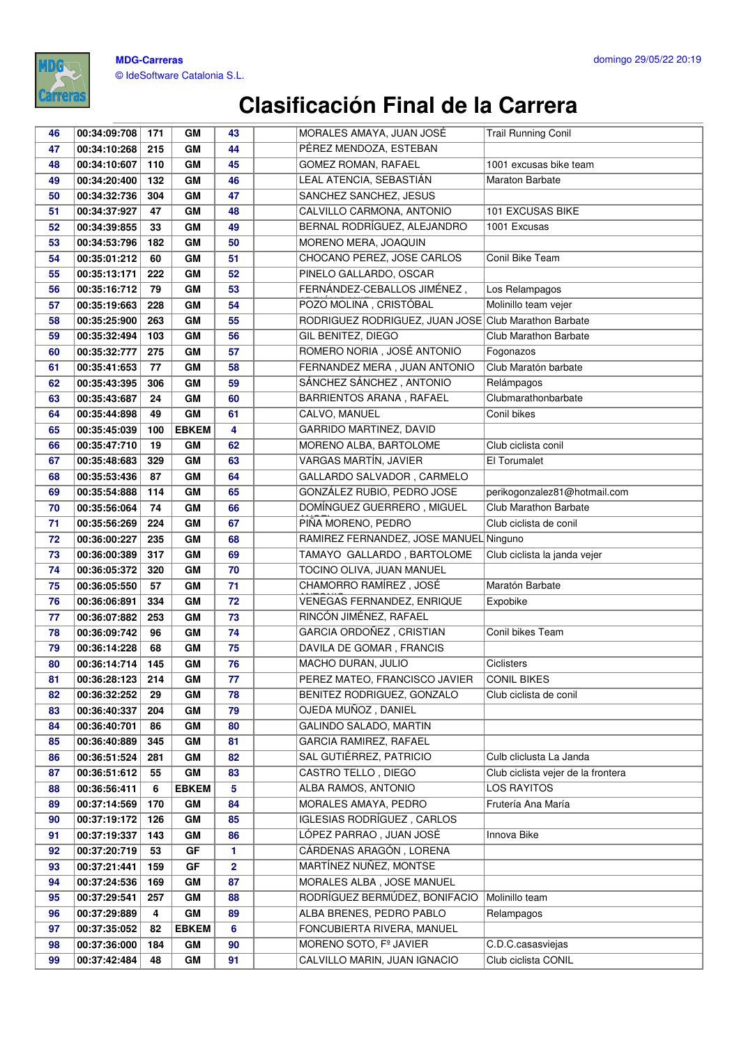

#### **MDG-Carreras** © IdeSoftware Catalonia S.L.

| 46       | 00:34:09:708                 | 171       | GM           | 43                      | MORALES AMAYA, JUAN JOSÉ                                | Trail Running Conil                |
|----------|------------------------------|-----------|--------------|-------------------------|---------------------------------------------------------|------------------------------------|
| 47       | 00:34:10:268                 | 215       | GM           | 44                      | PÉREZ MENDOZA, ESTEBAN                                  |                                    |
| 48       | 00:34:10:607                 | 110       | GM           | 45                      | GOMEZ ROMAN, RAFAEL                                     | 1001 excusas bike team             |
| 49       | 00:34:20:400                 | 132       | GM           | 46                      | LEAL ATENCIA, SEBASTIÁN                                 | Maraton Barbate                    |
| 50       | 00:34:32:736                 | 304       | GM           | 47                      | SANCHEZ SANCHEZ, JESUS                                  |                                    |
| 51       | 00:34:37:927                 | 47        | GM           | 48                      | CALVILLO CARMONA, ANTONIO                               | 101 EXCUSAS BIKE                   |
| 52       | 00:34:39:855                 | 33        | GM           | 49                      | BERNAL RODRÍGUEZ, ALEJANDRO                             | 1001 Excusas                       |
| 53       | 00:34:53:796                 | 182       | GM           | 50                      | MORENO MERA, JOAQUIN                                    |                                    |
| 54       | 00:35:01:212                 | 60        | GM           | 51                      | CHOCANO PEREZ, JOSE CARLOS                              | Conil Bike Team                    |
| 55       | 00:35:13:171                 | 222       | GM           | 52                      | PINELO GALLARDO, OSCAR                                  |                                    |
| 56       | 00:35:16:712                 | 79        | GM           | 53                      | FERNÁNDEZ-CEBALLOS JIMÉNEZ,                             | Los Relampagos                     |
| 57       | 00:35:19:663                 | 228       | GМ           | 54                      | POZO MOLINA, CRISTÓBAL                                  | Molinillo team vejer               |
| 58       | 00:35:25:900                 | 263       | GM           | 55                      | RODRIGUEZ RODRIGUEZ, JUAN JOSE Club Marathon Barbate    |                                    |
| 59       | 00:35:32:494                 | 103       | GM           | 56                      | GIL BENITEZ, DIEGO                                      | <b>Club Marathon Barbate</b>       |
| 60       | 00:35:32:777                 | 275       | GM           | 57                      | ROMERO NORIA, JOSÉ ANTONIO                              | Fogonazos                          |
| 61       | 00:35:41:653                 | 77        | GM           | 58                      | FERNANDEZ MERA, JUAN ANTONIO                            | Club Maratón barbate               |
| 62       | 00:35:43:395                 | 306       | GM           | 59                      | SÁNCHEZ SÁNCHEZ, ANTONIO                                | Relámpagos                         |
| 63       | 00:35:43:687                 | 24        | GM           | 60                      | BARRIENTOS ARANA, RAFAEL                                | Clubmarathonbarbate                |
| 64       | 00:35:44:898                 | 49        | GM           | 61                      | CALVO, MANUEL                                           | Conil bikes                        |
| 65       | 00:35:45:039                 | 100       | <b>EBKEM</b> | $\overline{\mathbf{4}}$ | GARRIDO MARTINEZ, DAVID                                 |                                    |
| 66       | 00:35:47:710                 | 19        | GM           | 62                      | MORENO ALBA, BARTOLOME                                  | Club ciclista conil                |
| 67       | 00:35:48:683                 | 329       | GM           | 63                      | VARGAS MARTÍN, JAVIER                                   | El Torumalet                       |
| 68       | 00:35:53:436                 | 87        | GМ           | 64                      | GALLARDO SALVADOR, CARMELO                              |                                    |
| 69       | 00:35:54:888                 | 114       | GM           | 65                      | GONZÁLEZ RUBIO, PEDRO JOSE                              | perikogonzalez81@hotmail.com       |
| 70       | 00:35:56:064                 | 74        | GM           | 66                      | DOMÍNGUEZ GUERRERO, MIGUEL                              | Club Marathon Barbate              |
| 71       | 00:35:56:269                 | 224       | GM           | 67                      | PIÑA MORENO, PEDRO                                      | Club ciclista de conil             |
| 72       | 00:36:00:227                 | 235       | GM           | 68                      | RAMIREZ FERNANDEZ, JOSE MANUEL Ninguno                  |                                    |
| 73       | 00:36:00:389                 | 317       | GM           | 69                      | TAMAYO GALLARDO, BARTOLOME                              | Club ciclista la janda vejer       |
| 74       | 00:36:05:372                 | 320       | GM           | 70                      | TOCINO OLIVA, JUAN MANUEL                               |                                    |
| 75       | 00:36:05:550                 | 57        | GM           | 71                      | CHAMORRO RAMÍREZ, JOSÉ                                  | Maratón Barbate                    |
| 76       | 00:36:06:891                 | 334       | GM           | 72                      | VENEGAS FERNANDEZ, ENRIQUE                              | Expobike                           |
| 77       | 00:36:07:882                 | 253       | GM           | 73                      | RINCÓN JIMÉNEZ, RAFAEL                                  |                                    |
| 78       | 00:36:09:742                 | 96        | GM           | 74                      | GARCIA ORDOÑEZ, CRISTIAN                                | Conil bikes Team                   |
| 79       | 00:36:14:228                 | 68        | GM           | 75                      | DAVILA DE GOMAR, FRANCIS                                |                                    |
| 80       | 00:36:14:714                 | 145       | GM           | 76                      | MACHO DURAN, JULIO                                      | Ciclisters                         |
| 81       | 00:36:28:123                 | 214       | GM           | 77                      | PEREZ MATEO, FRANCISCO JAVIER                           | <b>CONIL BIKES</b>                 |
| 82       | 00:36:32:252                 | 29        | GM           | 78                      | BENITEZ RODRIGUEZ, GONZALO                              | Club ciclista de conil             |
| 83       | 00:36:40:337                 | 204       | GM           | 79                      | OJEDA MUÑOZ, DANIEL                                     |                                    |
| 84       | 00:36:40:701                 | 86        | GM           | 80                      | GALINDO SALADO, MARTIN<br><b>GARCIA RAMIREZ, RAFAEL</b> |                                    |
| 85       | 00:36:40:889                 | 345       | GM           | 81                      | SAL GUTIÉRREZ, PATRICIO                                 | Culb cliclusta La Janda            |
| 86<br>87 | 00:36:51:524<br>00:36:51:612 | 281<br>55 | GM<br>GM     | 82<br>83                | CASTRO TELLO, DIEGO                                     | Club ciclista vejer de la frontera |
| 88       | 00:36:56:411                 | 6         | <b>EBKEM</b> | 5                       | ALBA RAMOS, ANTONIO                                     | <b>LOS RAYITOS</b>                 |
| 89       | 00:37:14:569                 | 170       | GМ           | 84                      | MORALES AMAYA, PEDRO                                    | Frutería Ana María                 |
| 90       | 00:37:19:172                 | 126       | GM           | 85                      | <b>IGLESIAS RODRÍGUEZ, CARLOS</b>                       |                                    |
| 91       | 00:37:19:337                 | 143       | GM           | 86                      | LÓPEZ PARRAO, JUAN JOSÉ                                 | Innova Bike                        |
| 92       | 00:37:20:719                 | 53        | GF           | 1                       | CÁRDENAS ARAGÓN, LORENA                                 |                                    |
| 93       | 00:37:21:441                 | 159       | GF           | $\mathbf{2}$            | MARTÍNEZ NUÑEZ, MONTSE                                  |                                    |
| 94       | 00:37:24:536                 | 169       | GM           | 87                      | MORALES ALBA, JOSE MANUEL                               |                                    |
| 95       | 00:37:29:541                 | 257       | GM           | 88                      | RODRÍGUEZ BERMÚDEZ, BONIFACIO                           | Molinillo team                     |
| 96       | 00:37:29:889                 | 4         | GM           | 89                      | ALBA BRENES, PEDRO PABLO                                | Relampagos                         |
| 97       | 00:37:35:052                 | 82        | <b>EBKEM</b> | 6                       | FONCUBIERTA RIVERA, MANUEL                              |                                    |
| 98       | 00:37:36:000                 | 184       | GM           | 90                      | MORENO SOTO, Fº JAVIER                                  | C.D.C.casasviejas                  |
| 99       | 00:37:42:484                 | 48        | GM           | 91                      | CALVILLO MARIN, JUAN IGNACIO                            | Club ciclista CONIL                |
|          |                              |           |              |                         |                                                         |                                    |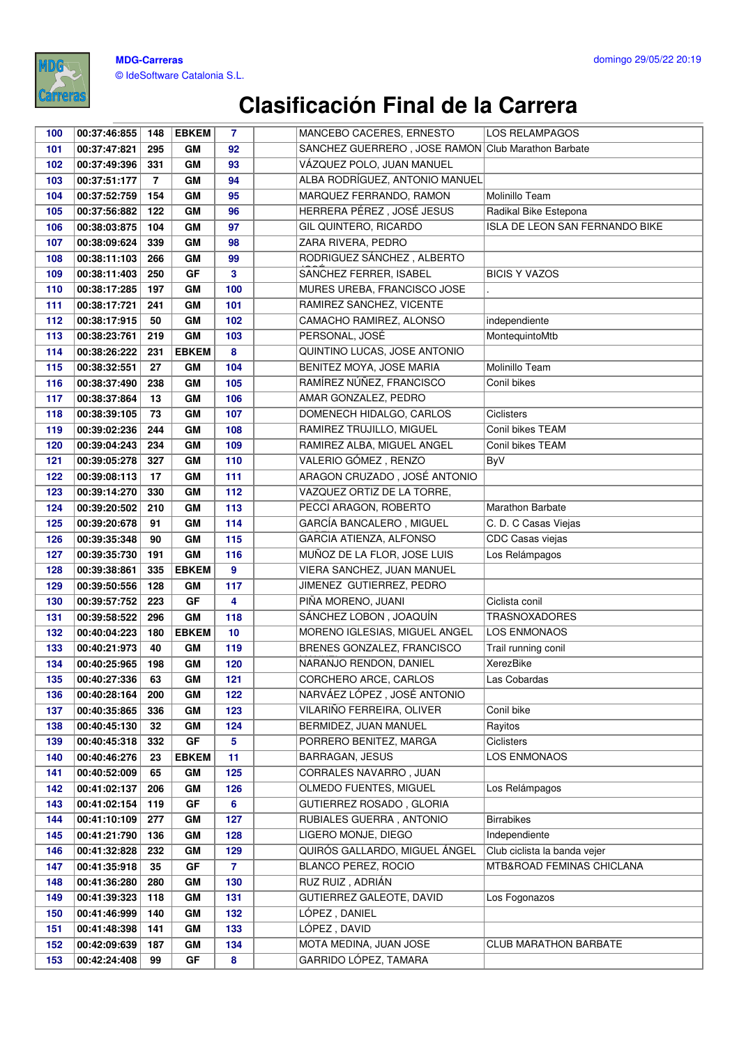

| 100 | 00:37:46:855 | 148            | <b>EBKEM</b> | $\overline{7}$ | MANCEBO CACERES, ERNESTO                           | LOS RELAMPAGOS                 |
|-----|--------------|----------------|--------------|----------------|----------------------------------------------------|--------------------------------|
| 101 | 00:37:47:821 | 295            | <b>GM</b>    | 92             | SÁNCHEZ GUERRERO, JOSE RAMÓN Club Marathon Barbate |                                |
| 102 | 00:37:49:396 | 331            | <b>GM</b>    | 93             | VÁZQUEZ POLO, JUAN MANUEL                          |                                |
| 103 | 00:37:51:177 | $\overline{7}$ | GM           | 94             | ALBA RODRÍGUEZ, ANTONIO MANUEL                     |                                |
| 104 | 00:37:52:759 | 154            | GM           | 95             | MARQUEZ FERRANDO, RAMON                            | Molinillo Team                 |
| 105 | 00:37:56:882 | 122            | GM           | 96             | HERRERA PÉREZ, JOSÉ JESUS                          | Radikal Bike Estepona          |
| 106 | 00:38:03:875 | 104            | <b>GM</b>    | 97             | GIL QUINTERO, RICARDO                              | ISLA DE LEON SAN FERNANDO BIKE |
| 107 | 00:38:09:624 | 339            | GM           | 98             | ZARA RIVERA, PEDRO                                 |                                |
| 108 | 00:38:11:103 | 266            | GM           | 99             | RODRIGUEZ SÁNCHEZ, ALBERTO                         |                                |
| 109 | 00:38:11:403 | 250            | GF           | 3              | SANCHEZ FERRER, ISABEL                             | <b>BICIS Y VAZOS</b>           |
| 110 | 00:38:17:285 | 197            | GM           | 100            | MURES UREBA, FRANCISCO JOSE                        |                                |
| 111 | 00:38:17:721 | 241            | <b>GM</b>    | 101            | RAMIREZ SANCHEZ, VICENTE                           |                                |
| 112 | 00:38:17:915 | 50             | <b>GM</b>    | 102            | CAMACHO RAMIREZ, ALONSO                            | independiente                  |
| 113 | 00:38:23:761 | 219            | <b>GM</b>    | 103            | PERSONAL, JOSÉ                                     | MontequintoMtb                 |
| 114 | 00:38:26:222 | 231            | <b>EBKEM</b> | 8              | QUINTINO LUCAS, JOSE ANTONIO                       |                                |
| 115 | 00:38:32:551 | 27             | GM           | 104            | BENITEZ MOYA, JOSE MARIA                           | Molinillo Team                 |
| 116 | 00:38:37:490 | 238            | GM           | 105            | RAMÍREZ NÚÑEZ, FRANCISCO                           | Conil bikes                    |
| 117 | 00:38:37:864 | 13             | GM           | 106            | AMAR GONZALEZ, PEDRO                               |                                |
| 118 | 00:38:39:105 | 73             | GM           | 107            | DOMENECH HIDALGO, CARLOS                           | <b>Ciclisters</b>              |
| 119 | 00:39:02:236 | 244            | <b>GM</b>    | 108            | RAMIREZ TRUJILLO, MIGUEL                           | Conil bikes TEAM               |
| 120 | 00:39:04:243 | 234            | GM           | 109            | RAMIREZ ALBA, MIGUEL ANGEL                         | Conil bikes TEAM               |
| 121 | 00:39:05:278 | 327            | <b>GM</b>    | 110            | VALERIO GÓMEZ, RENZO                               | ByV                            |
| 122 | 00:39:08:113 | 17             | <b>GM</b>    | 111            | ARAGON CRUZADO, JOSÉ ANTONIO                       |                                |
| 123 | 00:39:14:270 | 330            | <b>GM</b>    | 112            | VAZQUEZ ORTIZ DE LA TORRE,                         |                                |
| 124 | 00:39:20:502 | 210            | GM           | 113            | PECCI ARAGON, ROBERTO                              | Marathon Barbate               |
| 125 | 00:39:20:678 | 91             | GM           | 114            | GARCÍA BANCALERO, MIGUEL                           | C. D. C Casas Viejas           |
| 126 | 00:39:35:348 | 90             | GM           | 115            | GARCIA ATIENZA, ALFONSO                            | CDC Casas viejas               |
| 127 | 00:39:35:730 | 191            | GM           | 116            | MUÑOZ DE LA FLOR, JOSE LUIS                        | Los Relámpagos                 |
| 128 | 00:39:38:861 | 335            | <b>EBKEM</b> | 9              | VIERA SANCHEZ, JUAN MANUEL                         |                                |
| 129 | 00:39:50:556 | 128            | GM           | 117            | JIMENEZ GUTIERREZ, PEDRO                           |                                |
| 130 | 00:39:57:752 | 223            | GF           | 4              | PIÑA MORENO, JUANI                                 | Ciclista conil                 |
| 131 | 00:39:58:522 | 296            | GM           | 118            | SÁNCHEZ LOBON, JOAQUÍN                             | <b>TRASNOXADORES</b>           |
| 132 | 00:40:04:223 | 180            | <b>EBKEM</b> | 10             | MORENO IGLESIAS, MIGUEL ANGEL                      | <b>LOS ENMONAOS</b>            |
| 133 | 00:40:21:973 | 40             | GM           | 119            | BRENES GONZALEZ, FRANCISCO                         | Trail running conil            |
| 134 | 00:40:25:965 | 198            | <b>GM</b>    | 120            | NARANJO RENDON, DANIEL                             | XerezBike                      |
| 135 | 00:40:27:336 | 63             | GM           | 121            | CORCHERO ARCE, CARLOS                              | Las Cobardas                   |
| 136 | 00:40:28:164 | 200            | GМ           | 122            | NARVÁEZ LÓPEZ, JOSÉ ANTONIO                        |                                |
| 137 | 00:40:35:865 | 336            | GM           | 123            | VILARIÑO FERREIRA, OLIVER                          | Conil bike                     |
| 138 | 00:40:45:130 | 32             | GM           | 124            | BERMIDEZ, JUAN MANUEL                              | Rayitos                        |
| 139 | 00:40:45:318 | 332            | GF           | 5              | PORRERO BENITEZ, MARGA                             | Ciclisters                     |
| 140 | 00:40:46:276 | 23             | <b>EBKEM</b> | 11             | BARRAGAN, JESUS                                    | LOS ENMONAOS                   |
| 141 | 00:40:52:009 | 65             | GM           | 125            | CORRALES NAVARRO, JUAN                             |                                |
| 142 | 00:41:02:137 | 206            | GM           | 126            | OLMEDO FUENTES, MIGUEL                             | Los Relámpagos                 |
| 143 | 00:41:02:154 | 119            | GF           | 6              | GUTIERREZ ROSADO, GLORIA                           |                                |
| 144 | 00:41:10:109 | 277            | GМ           | 127            | RUBIALES GUERRA, ANTONIO                           | <b>Birrabikes</b>              |
| 145 | 00:41:21:790 | 136            | GM           | 128            | LIGERO MONJE, DIEGO                                | Independiente                  |
| 146 | 00:41:32:828 | 232            | GM           | 129            | QUIRÓS GALLARDO, MIGUEL ÁNGEL                      | Club ciclista la banda vejer   |
| 147 | 00:41:35:918 | 35             | GF           | $\overline{7}$ | BLANCO PEREZ, ROCIO                                | MTB&ROAD FEMINAS CHICLANA      |
| 148 | 00:41:36:280 | 280            | GМ           | 130            | RUZ RUIZ, ADRIÁN                                   |                                |
| 149 | 00:41:39:323 | 118            | GM           | 131            | GUTIERREZ GALEOTE, DAVID                           | Los Fogonazos                  |
| 150 | 00:41:46:999 | 140            | GM           | 132            | LÓPEZ, DANIEL                                      |                                |
| 151 | 00:41:48:398 | 141            | GМ           | 133            | LÓPEZ, DAVID                                       |                                |
| 152 | 00:42:09:639 | 187            | GM           | 134            | MOTA MEDINA, JUAN JOSE                             | <b>CLUB MARATHON BARBATE</b>   |
| 153 | 00:42:24:408 | 99             | GF           | 8              | GARRIDO LÓPEZ, TAMARA                              |                                |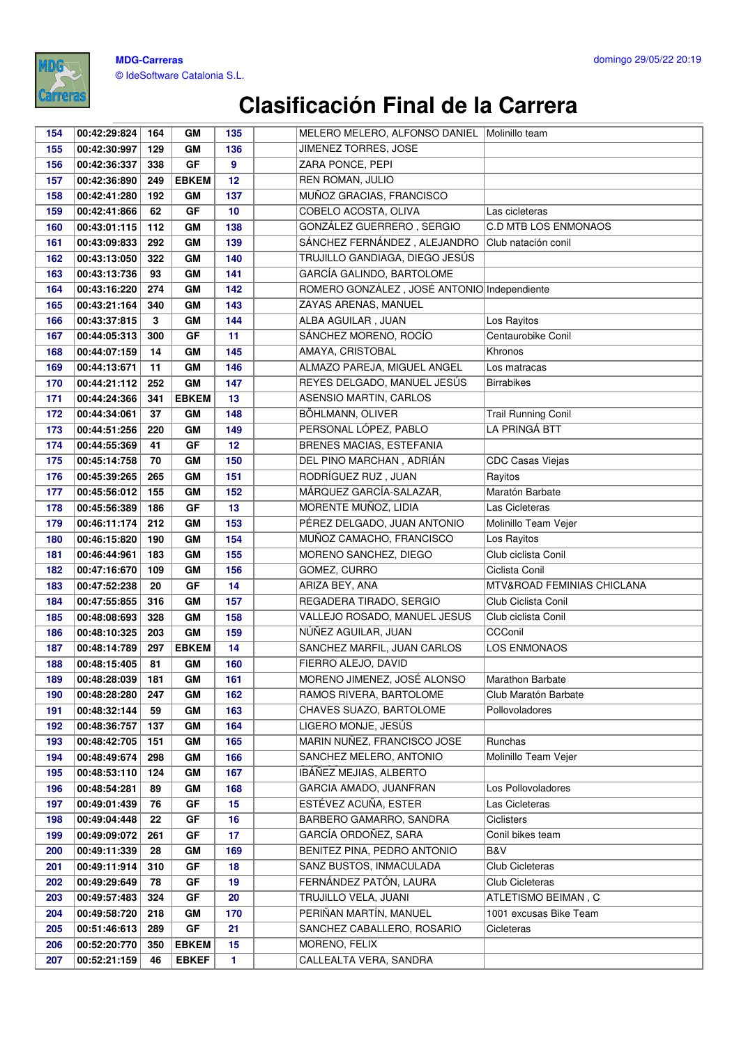

| 154        | 00:42:29:824                 | 164      | GМ           | 135      | MELERO MELERO, ALFONSO DANIEL   Molinillo team |                              |
|------------|------------------------------|----------|--------------|----------|------------------------------------------------|------------------------------|
| 155        | 00:42:30:997                 | 129      | GM           | 136      | JIMENEZ TORRES, JOSE                           |                              |
| 156        | 00:42:36:337                 | 338      | GF           | 9        | ZARA PONCE, PEPI                               |                              |
| 157        | 00:42:36:890                 | 249      | <b>EBKEM</b> | 12       | <b>REN ROMAN, JULIO</b>                        |                              |
| 158        | 00:42:41:280                 | 192      | GM           | 137      | MUÑOZ GRACIAS, FRANCISCO                       |                              |
| 159        | 00:42:41:866                 | 62       | GF           | 10       | COBELO ACOSTA, OLIVA                           | Las cicleteras               |
| 160        | 00:43:01:115                 | 112      | GM           | 138      | GONZÁLEZ GUERRERO, SERGIO                      | <b>C.D MTB LOS ENMONAOS</b>  |
| 161        | 00:43:09:833                 | 292      | GM           | 139      | SÁNCHEZ FERNÁNDEZ, ALEJANDRO                   | Club natación conil          |
| 162        | 00:43:13:050                 | 322      | GМ           | 140      | TRUJILLO GANDIAGA, DIEGO JESÚS                 |                              |
| 163        | 00:43:13:736                 | 93       | GM           | 141      | <b>GARCÍA GALINDO, BARTOLOME</b>               |                              |
| 164        | 00:43:16:220                 | 274      | GM           | 142      | ROMERO GONZÁLEZ, JOSÉ ANTONIO Independiente    |                              |
| 165        | 00:43:21:164                 | 340      | GM           | 143      | ZAYAS ARENAS, MANUEL                           |                              |
| 166        | 00:43:37:815                 | 3        | GM           | 144      | ALBA AGUILAR, JUAN                             | Los Rayitos                  |
| 167        | 00:44:05:313                 | 300      | GF           | 11       | SÁNCHEZ MORENO, ROCÍO                          | Centaurobike Conil           |
| 168        | 00:44:07:159                 | 14       | GM           | 145      | AMAYA, CRISTOBAL                               | Khronos                      |
| 169        | 00:44:13:671                 | 11       | GM           | 146      | ALMAZO PAREJA, MIGUEL ANGEL                    | Los matracas                 |
| 170        | 00:44:21:112                 | 252      | GM           | 147      | REYES DELGADO, MANUEL JESÚS                    | <b>Birrabikes</b>            |
| 171        | 00:44:24:366                 | 341      | <b>EBKEM</b> | 13       | ASENSIO MARTIN, CARLOS                         |                              |
| 172        | 00:44:34:061                 | 37       | GM           | 148      | BÖHLMANN, OLIVER                               | <b>Trail Running Conil</b>   |
| 173        | 00:44:51:256                 | 220      | GM           | 149      | PERSONAL LÓPEZ, PABLO                          | LA PRINGÁ BTT                |
| 174        | 00:44:55:369                 | 41       | GF           | 12       | BRENES MACIAS, ESTEFANIA                       |                              |
| 175        | 00:45:14:758                 | 70       | GM           | 150      | DEL PINO MARCHAN, ADRIÁN                       | <b>CDC Casas Viejas</b>      |
| 176        | 00:45:39:265                 | 265      | GM           | 151      | RODRÍGUEZ RUZ, JUAN                            | Rayitos                      |
| 177        | 00:45:56:012                 | 155      | GM           | 152      | MÁRQUEZ GARCÍA-SALAZAR,                        | Maratón Barbate              |
| 178        | 00:45:56:389                 | 186      | GF           | 13       | MORENTE MUÑOZ, LIDIA                           | Las Cicleteras               |
| 179        | 00:46:11:174                 | 212      | GM           | 153      | PÉREZ DELGADO, JUAN ANTONIO                    | Molinillo Team Vejer         |
| 180        | 00:46:15:820                 | 190      | GM           | 154      | MUÑOZ CAMACHO, FRANCISCO                       | Los Rayitos                  |
| 181        | 00:46:44:961                 | 183      | GM           | 155      | MORENO SANCHEZ, DIEGO                          | Club ciclista Conil          |
| 182        | 00:47:16:670                 | 109      | GM           | 156      | GOMEZ, CURRO                                   | Ciclista Conil               |
| 183        | 00:47:52:238                 | 20       | GF           | 14       | ARIZA BEY, ANA                                 | MTV&ROAD FEMINIAS CHICLANA   |
| 184        | 00:47:55:855                 | 316      | GM           | 157      | REGADERA TIRADO, SERGIO                        | Club Ciclista Conil          |
| 185        | 00:48:08:693                 | 328      | GM           | 158      | VALLEJO ROSADO, MANUEL JESUS                   | Club ciclista Conil          |
| 186        | 00:48:10:325                 | 203      | GM           | 159      | NÚÑEZ AGUILAR, JUAN                            | CCConil                      |
| 187        | 00:48:14:789                 | 297      | <b>EBKEM</b> | 14       | SANCHEZ MARFIL, JUAN CARLOS                    | LOS ENMONAOS                 |
| 188        | 00:48:15:405                 | 81       | GM           | 160      | FIERRO ALEJO, DAVID                            |                              |
| 189        | 00:48:28:039                 | 181      | GM           | 161      | MORENO JIMENEZ, JOSÉ ALONSO                    | <b>Marathon Barbate</b>      |
| 190        | 00:48:28:280                 | 247      | GM           | 162      | RAMOS RIVERA, BARTOLOME                        | Club Maratón Barbate         |
| 191        | 00:48:32:144                 | 59       | GM           | 163      | CHAVES SUAZO, BARTOLOME                        | Pollovoladores               |
| 192        | 00:48:36:757                 | 137      | GM           | 164      | LIGERO MONJE, JESÚS                            |                              |
| 193        | 00:48:42:705                 | 151      | GM           | 165      | MARIN NUÑEZ, FRANCISCO JOSE                    | <b>Runchas</b>               |
| 194        | 00:48:49:674                 | 298      | GM           | 166      | SANCHEZ MELERO, ANTONIO                        | Molinillo Team Vejer         |
| 195        | 00:48:53:110                 | 124      | GM           | 167      | IBÁÑEZ MEJIAS, ALBERTO                         | Los Pollovoladores           |
| 196        | 00:48:54:281                 | 89<br>76 | GМ           | 168      | GARCIA AMADO, JUANFRAN<br>ESTÉVEZ ACUÑA, ESTER |                              |
| 197<br>198 | 00:49:01:439<br>00:49:04:448 | 22       | GF<br>GF     | 15<br>16 | BARBERO GAMARRO, SANDRA                        | Las Cicleteras<br>Ciclisters |
| 199        |                              | 261      | GF           | 17       | GARCÍA ORDOÑEZ, SARA                           | Conil bikes team             |
| 200        | 00:49:09:072<br>00:49:11:339 | 28       | GM           | 169      | BENITEZ PINA, PEDRO ANTONIO                    | B&V                          |
| 201        | 00:49:11:914                 | 310      | GF           | 18       | SANZ BUSTOS, INMACULADA                        | Club Cicleteras              |
| 202        | 00:49:29:649                 | 78       | GF           | 19       | FERNÁNDEZ PATÓN, LAURA                         | Club Cicleteras              |
| 203        | 00:49:57:483                 | 324      | GF           | 20       | TRUJILLO VELA, JUANI                           | ATLETISMO BEIMAN, C          |
| 204        | 00:49:58:720                 | 218      | GM           | 170      | PERIÑAN MARTÍN, MANUEL                         | 1001 excusas Bike Team       |
| 205        | 00:51:46:613                 | 289      | GF           | 21       | SANCHEZ CABALLERO, ROSARIO                     | Cicleteras                   |
| 206        | 00:52:20:770                 | 350      | <b>EBKEM</b> | 15       | MORENO, FELIX                                  |                              |
| 207        | 00:52:21:159                 | 46       | <b>EBKEF</b> | 1        | CALLEALTA VERA, SANDRA                         |                              |
|            |                              |          |              |          |                                                |                              |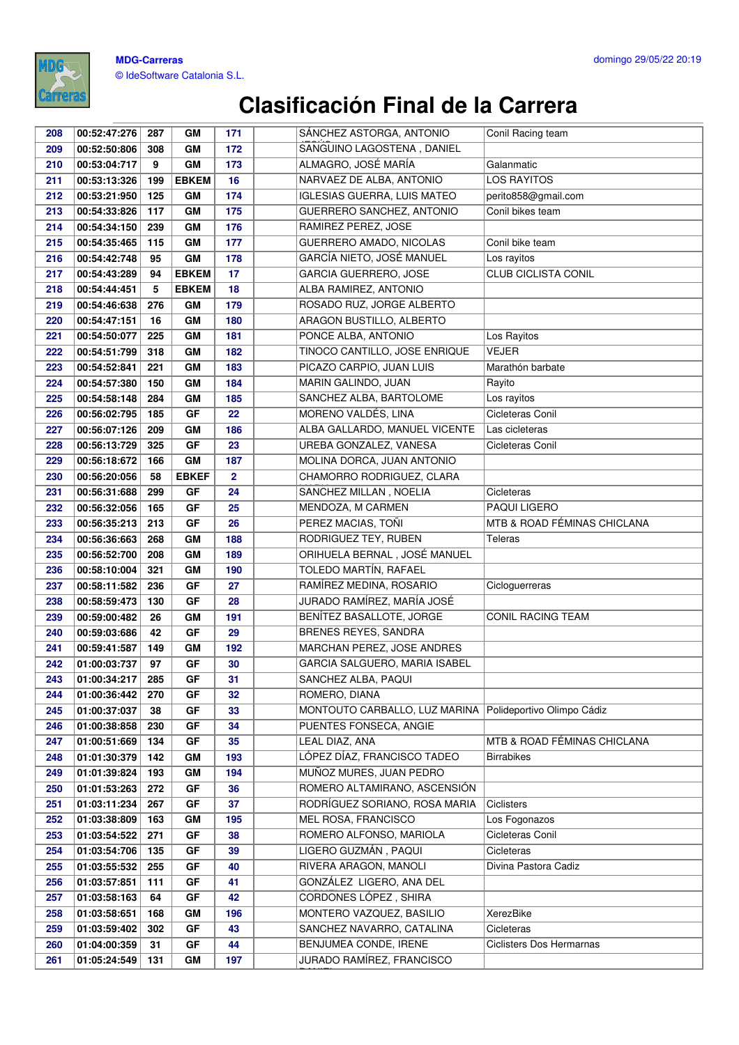

| 208        | 00:52:47:276                 | 287       | GM           | 171            | SÁNCHEZ ASTORGA, ANTONIO                                | Conil Racing team           |
|------------|------------------------------|-----------|--------------|----------------|---------------------------------------------------------|-----------------------------|
| 209        | 00:52:50:806                 | 308       | GM           | 172            | SANGUINO LAGOSTENA, DANIEL                              |                             |
| 210        | 00:53:04:717                 | 9         | GM           | 173            | ALMAGRO, JOSÉ MARÍA                                     | Galanmatic                  |
| 211        | 00:53:13:326                 | 199       | <b>EBKEM</b> | 16             | NARVAEZ DE ALBA, ANTONIO                                | <b>LOS RAYITOS</b>          |
| 212        | 00:53:21:950                 | 125       | GM           | 174            | <b>IGLESIAS GUERRA, LUIS MATEO</b>                      | perito858@gmail.com         |
| 213        | 00:54:33:826                 | 117       | GM           | 175            | GUERRERO SANCHEZ, ANTONIO                               | Conil bikes team            |
| 214        | 00:54:34:150                 | 239       | GM           | 176            | RAMIREZ PEREZ, JOSE                                     |                             |
| 215        | 00:54:35:465                 | 115       | GM           | 177            | GUERRERO AMADO, NICOLAS                                 | Conil bike team             |
| 216        | 00:54:42:748                 | 95        | GM           | 178            | GARCÍA NIETO, JOSÉ MANUEL                               | Los rayitos                 |
| 217        | 00:54:43:289                 | 94        | <b>EBKEM</b> | 17             | GARCIA GUERRERO, JOSE                                   | CLUB CICLISTA CONIL         |
| 218        | 00:54:44:451                 | 5         | <b>EBKEM</b> | 18             | ALBA RAMIREZ, ANTONIO                                   |                             |
| 219        | 00:54:46:638                 | 276       | GM           | 179            | ROSADO RUZ, JORGE ALBERTO                               |                             |
| 220        | 00:54:47:151                 | 16        | GM           | 180            | ARAGON BUSTILLO, ALBERTO                                |                             |
| 221        | 00:54:50:077                 | 225       | GM           | 181            | PONCE ALBA, ANTONIO                                     | Los Rayitos                 |
| 222        | 00:54:51:799                 | 318       | GM           | 182            | TINOCO CANTILLO, JOSE ENRIQUE                           | <b>VEJER</b>                |
| 223        | 00:54:52:841                 | 221       | GM           | 183            | PICAZO CARPIO, JUAN LUIS                                | Marathón barbate            |
| 224        | 00:54:57:380                 | 150       | GM           | 184            | MARIN GALINDO, JUAN                                     | Rayito                      |
| 225        | 00:54:58:148                 | 284       | GM           | 185            | SANCHEZ ALBA, BARTOLOME                                 | Los rayitos                 |
| 226        | 00:56:02:795                 | 185       | GF           | 22             | MORENO VALDÉS, LINA                                     | Cicleteras Conil            |
| 227        | 00:56:07:126                 | 209       | GM           | 186            | ALBA GALLARDO, MANUEL VICENTE                           | Las cicleteras              |
| 228        | 00:56:13:729                 | 325       | GF           | 23             | UREBA GONZALEZ, VANESA                                  | Cicleteras Conil            |
| 229        | 00:56:18:672                 | 166       | GM           | 187            | MOLINA DORCA, JUAN ANTONIO                              |                             |
| 230        | 00:56:20:056                 | 58        | <b>EBKEF</b> | $\overline{2}$ | CHAMORRO RODRIGUEZ, CLARA                               |                             |
| 231        | 00:56:31:688                 | 299       | GF           | 24             | SANCHEZ MILLAN, NOELIA                                  | Cicleteras                  |
| 232        | 00:56:32:056                 | 165       | GF           | 25             | MENDOZA, M CARMEN                                       | PAQUI LIGERO                |
| 233        | 00:56:35:213                 | 213       | GF           | 26             | PEREZ MACIAS, TOÑI                                      | MTB & ROAD FÉMINAS CHICLANA |
| 234        | 00:56:36:663                 | 268       | GM           | 188            | RODRIGUEZ TEY, RUBEN                                    | Teleras                     |
| 235        | 00:56:52:700                 | 208       | GM           | 189            | ORIHUELA BERNAL, JOSÉ MANUEL                            |                             |
| 236        | 00:58:10:004                 | 321       | GM           | 190            | TOLEDO MARTÍN, RAFAEL                                   |                             |
| 237        | 00:58:11:582                 | 236       | GF           | 27             | RAMÍREZ MEDINA, ROSARIO                                 | Cicloguerreras              |
| 238        | 00:58:59:473                 | 130       | GF           | 28             | JURADO RAMÍREZ, MARÍA JOSÉ                              |                             |
| 239        | 00:59:00:482                 | 26        | GM           | 191            | BENÍTEZ BASALLOTE, JORGE                                | CONIL RACING TEAM           |
| 240        | 00:59:03:686                 | 42        | GF           | 29             | BRENES REYES, SANDRA                                    |                             |
| 241        | 00:59:41:587                 | 149       | GM           | 192            | MARCHAN PEREZ, JOSE ANDRES                              |                             |
| 242        | 01:00:03:737                 | 97        | GF           | 30             | GARCIA SALGUERO, MARIA ISABEL                           |                             |
| 243        | 01:00:34:217                 | 285       | GF           | 31             | SANCHEZ ALBA, PAQUI<br>ROMERO, DIANA                    |                             |
| 244        | 01:00:36:442                 | 270       | GF           | 32             |                                                         |                             |
| 245<br>246 | 01:00:37:037<br>01:00:38:858 | 38<br>230 | GF<br>GF     | 33<br>34       | MONTOUTO CARBALLO, LUZ MARINA<br>PUENTES FONSECA, ANGIE | Polideportivo Olimpo Cádiz  |
| 247        | 01:00:51:669                 | 134       | GF           | 35             | LEAL DIAZ, ANA                                          | MTB & ROAD FÉMINAS CHICLANA |
| 248        | 01:01:30:379                 | 142       | GM           | 193            | LÓPEZ DÍAZ, FRANCISCO TADEO                             | <b>Birrabikes</b>           |
| 249        | 01:01:39:824                 | 193       | GM           | 194            | MUÑOZ MURES, JUAN PEDRO                                 |                             |
| 250        | 01:01:53:263                 | 272       | GF           | 36             | ROMERO ALTAMIRANO, ASCENSIÓN                            |                             |
| 251        | 01:03:11:234                 | 267       | GF           | 37             | RODRÍGUEZ SORIANO, ROSA MARIA                           | Ciclisters                  |
| 252        | 01:03:38:809                 | 163       | GM           | 195            | MEL ROSA, FRANCISCO                                     | Los Fogonazos               |
| 253        | 01:03:54:522                 | 271       | GF           | 38             | ROMERO ALFONSO, MARIOLA                                 | Cicleteras Conil            |
| 254        | 01:03:54:706                 | 135       | GF           | 39             | LIGERO GUZMÁN, PAQUI                                    | Cicleteras                  |
| 255        | 01:03:55:532                 | 255       | GF           | 40             | RIVERA ARAGON, MANOLI                                   | Divina Pastora Cadiz        |
| 256        | 01:03:57:851                 | 111       | GF           | 41             | GONZÁLEZ LIGERO, ANA DEL                                |                             |
| 257        | 01:03:58:163                 | 64        | GF           | 42             | CORDONES LÓPEZ, SHIRA                                   |                             |
| 258        | 01:03:58:651                 | 168       | GM           | 196            | MONTERO VAZQUEZ, BASILIO                                | XerezBike                   |
| 259        | 01:03:59:402                 | 302       | GF           | 43             | SANCHEZ NAVARRO, CATALINA                               | Cicleteras                  |
| 260        | 01:04:00:359                 | 31        | GF           | 44             | BENJUMEA CONDE, IRENE                                   | Ciclisters Dos Hermarnas    |
| 261        | 01:05:24:549                 | 131       | GM           | 197            | JURADO RAMÍREZ, FRANCISCO                               |                             |
|            |                              |           |              |                |                                                         |                             |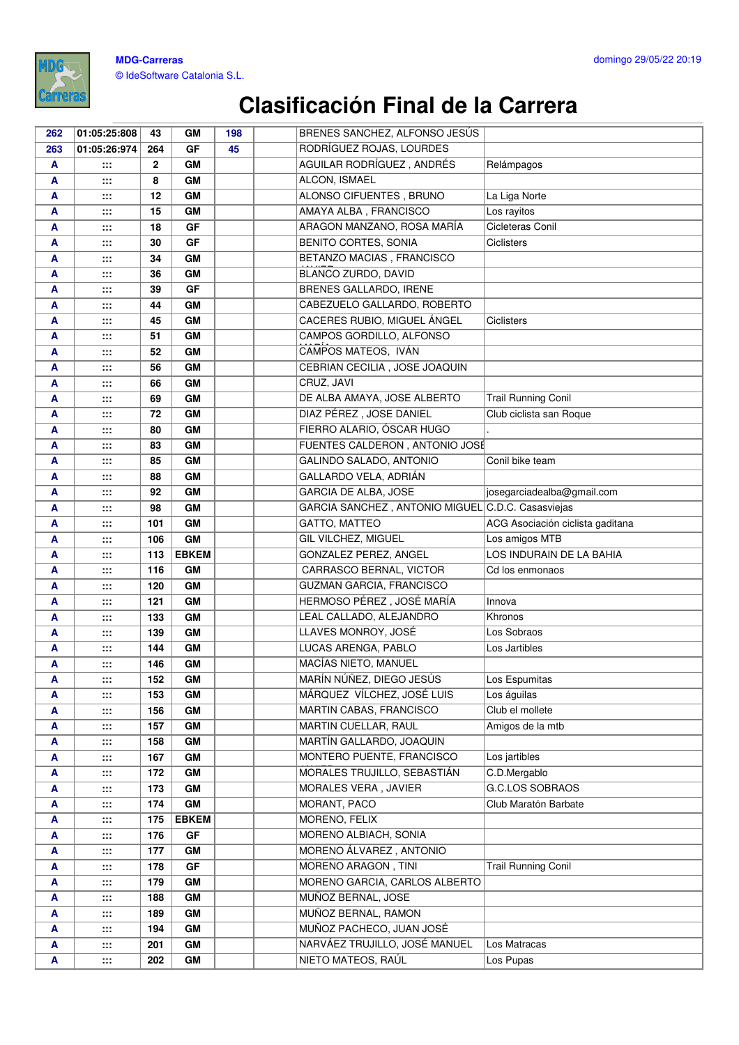

#### **MDG-Carreras** © IdeSoftware Catalonia S.L.

| 262 | 01:05:25:808   | 43           | GM           | 198 | BRENES SANCHEZ, ALFONSO JESÚS                     |                                  |
|-----|----------------|--------------|--------------|-----|---------------------------------------------------|----------------------------------|
| 263 | 01:05:26:974   | 264          | <b>GF</b>    | 45  | RODRÍGUEZ ROJAS, LOURDES                          |                                  |
| A   | :::            | $\mathbf{2}$ | GМ           |     | AGUILAR RODRÍGUEZ, ANDRÉS                         | Relámpagos                       |
| A   | ∷:             | 8            | GM           |     | ALCON, ISMAEL                                     |                                  |
| A   | :::            | 12           | GM           |     | ALONSO CIFUENTES, BRUNO                           | La Liga Norte                    |
| A   | $\mathbf{}$    | 15           | GM           |     | AMAYA ALBA, FRANCISCO                             | Los rayitos                      |
| A   | :::            | 18           | <b>GF</b>    |     | ARAGON MANZANO, ROSA MARÍA                        | Cicleteras Conil                 |
| A   | $\mathbb{R}^2$ | 30           | GF           |     | BENITO CORTES, SONIA                              | Ciclisters                       |
| A   | ∷:             | 34           | GM           |     | BETANZO MACIAS, FRANCISCO                         |                                  |
| A   | $\mathbf{H}$   | 36           | <b>GM</b>    |     | BLANCO ZURDO, DAVID                               |                                  |
| A   | $\mathbf{}$    | 39           | <b>GF</b>    |     | BRENES GALLARDO, IRENE                            |                                  |
| A   | $\cdots$       | 44           | GM           |     | CABEZUELO GALLARDO, ROBERTO                       |                                  |
| A   | $\mathbf{}$    | 45           | <b>GM</b>    |     | CACERES RUBIO, MIGUEL ÁNGEL                       | <b>Ciclisters</b>                |
| A   | $\cdots$       | 51           | GM           |     | CAMPOS GORDILLO, ALFONSO                          |                                  |
| A   | :::            | 52           | GM           |     | CAMPOS MATEOS, IVÁN                               |                                  |
| Α   | $\cdots$       | 56           | GM           |     | CEBRIAN CECILIA, JOSE JOAQUIN                     |                                  |
| A   | $\mathbf{}$    | 66           | GM           |     | CRUZ, JAVI                                        |                                  |
| A   | $\mathbb{R}$   | 69           | GM           |     | DE ALBA AMAYA, JOSE ALBERTO                       | <b>Trail Running Conil</b>       |
| A   | $\cdots$       | 72           | <b>GM</b>    |     | DIAZ PÉREZ, JOSE DANIEL                           | Club ciclista san Roque          |
| A   | ∷:             | 80           | <b>GM</b>    |     | FIERRO ALARIO, ÓSCAR HUGO                         |                                  |
| A   | $\mathbf{}$    | 83           | <b>GM</b>    |     | FUENTES CALDERON, ANTONIO JOSÉ                    |                                  |
| A   | $\cdots$       | 85           | GM           |     | GALINDO SALADO, ANTONIO                           | Conil bike team                  |
| A   | $\cdots$       | 88           | GM           |     | GALLARDO VELA, ADRIÁN                             |                                  |
| A   | $\cdots$       | 92           | <b>GM</b>    |     | <b>GARCIA DE ALBA, JOSE</b>                       | josegarciadealba@gmail.com       |
| A   | $\mathbf{H}$   | 98           | GM           |     | GARCIA SANCHEZ, ANTONIO MIGUEL C.D.C. Casasviejas |                                  |
| A   | $\mathbf{H}$   | 101          | <b>GM</b>    |     | <b>GATTO, MATTEO</b>                              | ACG Asociación ciclista gaditana |
| A   | :::            | 106          | <b>GM</b>    |     | GIL VILCHEZ, MIGUEL                               | Los amigos MTB                   |
| A   | $\mathbf{}$    | 113          | <b>EBKEM</b> |     | GONZALEZ PEREZ, ANGEL                             | LOS INDURAIN DE LA BAHIA         |
| A   | :::            | 116          | GM           |     | CARRASCO BERNAL, VICTOR                           | Cd los enmonaos                  |
| A   | $\mathbf{H}$   | 120          | GM           |     | GUZMAN GARCIA, FRANCISCO                          |                                  |
| A   | $\mathbf{}$    | 121          | <b>GM</b>    |     | HERMOSO PÉREZ, JOSÉ MARÍA                         | Innova                           |
| A   | $\mathbf{}$    | 133          | GM           |     | LEAL CALLADO, ALEJANDRO                           | Khronos                          |
| A   | $\cdots$       | 139          | GM           |     | <b>LLAVES MONROY, JOSÉ</b>                        | Los Sobraos                      |
| A   | :::            | 144          | <b>GM</b>    |     | LUCAS ARENGA, PABLO                               | Los Jartibles                    |
| A   | $\cdots$       | 146          | GM           |     | MACÍAS NIETO, MANUEL                              |                                  |
| A   | :::            | 152          | GM           |     | MARÍN NÚÑEZ, DIEGO JESÚS                          | Los Espumitas                    |
| A   | :::            | 153          | GM           |     | MÁRQUEZ VÍLCHEZ, JOSÉ LUIS                        | Los águilas                      |
| A   | ∷:             | 156          | GM           |     | MARTIN CABAS, FRANCISCO                           | Club el mollete                  |
| A   | :::            | 157          | GM           |     | MARTIN CUELLAR, RAUL                              | Amigos de la mtb                 |
| A   | $\mathbb{R}$   | 158          | GM           |     | MARTÍN GALLARDO, JOAQUIN                          |                                  |
| A   | ∷:             | 167          | GM           |     | MONTERO PUENTE, FRANCISCO                         | Los jartibles                    |
| A   | $\mathbf{H}$   | 172          | GM           |     | MORALES TRUJILLO, SEBASTIÁN                       | C.D.Mergablo                     |
| A   | $\mathbf{}$    | 173          | GM           |     | MORALES VERA, JAVIER                              | <b>G.C.LOS SOBRAOS</b>           |
| A   | $\mathbf{}$    | 174          | GM           |     | MORANT, PACO                                      | Club Maratón Barbate             |
| A   | $\mathbf{}$    | 175          | <b>EBKEM</b> |     | MORENO, FELIX                                     |                                  |
| A   | ∷:             | 176          | GF           |     | MORENO ALBIACH, SONIA                             |                                  |
| A   | $\mathbf{}$    | 177          | GM           |     | MORENO ÁLVAREZ, ANTONIO                           |                                  |
| A   | :::            | 178          | GF           |     | MORENO ARAGON, TINI                               | <b>Trail Running Conil</b>       |
| A   | $\mathbf{H}$   | 179          | GM           |     | MORENO GARCIA, CARLOS ALBERTO                     |                                  |
| A   | $\mathbf{}$    | 188          | GM           |     | MUÑOZ BERNAL, JOSE                                |                                  |
| A   | $\mathbf{H}$   | 189          | GM           |     | MUÑOZ BERNAL, RAMON                               |                                  |
| A   | $\mathbb{R}$   | 194          | GM           |     | MUÑOZ PACHECO, JUAN JOSÉ                          |                                  |
| A   | ∷:             | 201          | GM           |     | NARVÁEZ TRUJILLO, JOSÉ MANUEL                     | Los Matracas                     |
| A   | ∷:             | 202          | GM           |     | NIETO MATEOS, RAÚL                                | Los Pupas                        |